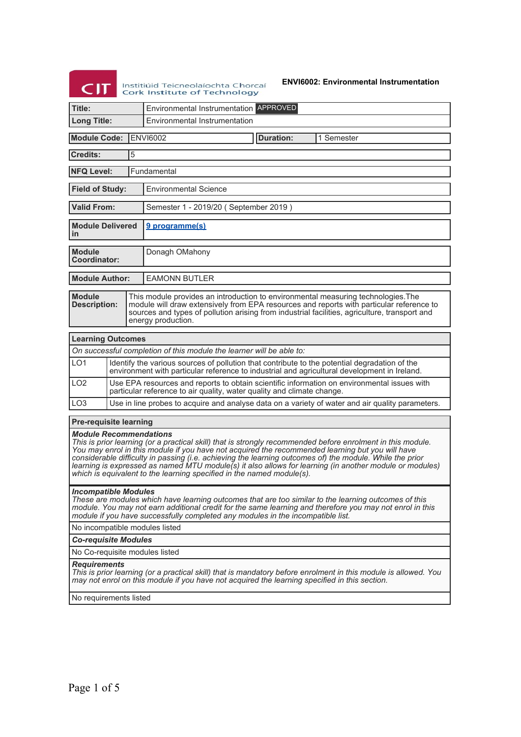# **Exercía de Instituíu de Teicneolaíochta Chorcaí**

**ENVI6002: Environmental Instrumentation**

| ~"                                                                                                                                                                                                                                                                                                                                                                                                                                                                                                                                               |                                                                                                  |   | <b>Cork Institute of Technology</b>                                                                                                                                                                                                                                                                  |  |                  |                                                                                                                                                                                               |  |  |
|--------------------------------------------------------------------------------------------------------------------------------------------------------------------------------------------------------------------------------------------------------------------------------------------------------------------------------------------------------------------------------------------------------------------------------------------------------------------------------------------------------------------------------------------------|--------------------------------------------------------------------------------------------------|---|------------------------------------------------------------------------------------------------------------------------------------------------------------------------------------------------------------------------------------------------------------------------------------------------------|--|------------------|-----------------------------------------------------------------------------------------------------------------------------------------------------------------------------------------------|--|--|
| Title:                                                                                                                                                                                                                                                                                                                                                                                                                                                                                                                                           |                                                                                                  |   | Environmental Instrumentation APPROVED                                                                                                                                                                                                                                                               |  |                  |                                                                                                                                                                                               |  |  |
| <b>Long Title:</b>                                                                                                                                                                                                                                                                                                                                                                                                                                                                                                                               |                                                                                                  |   | Environmental Instrumentation                                                                                                                                                                                                                                                                        |  |                  |                                                                                                                                                                                               |  |  |
| <b>Module Code:</b>                                                                                                                                                                                                                                                                                                                                                                                                                                                                                                                              |                                                                                                  |   | <b>ENVI6002</b>                                                                                                                                                                                                                                                                                      |  | <b>Duration:</b> | 1 Semester                                                                                                                                                                                    |  |  |
| <b>Credits:</b>                                                                                                                                                                                                                                                                                                                                                                                                                                                                                                                                  |                                                                                                  | 5 |                                                                                                                                                                                                                                                                                                      |  |                  |                                                                                                                                                                                               |  |  |
| <b>NFQ Level:</b><br>Fundamental                                                                                                                                                                                                                                                                                                                                                                                                                                                                                                                 |                                                                                                  |   |                                                                                                                                                                                                                                                                                                      |  |                  |                                                                                                                                                                                               |  |  |
| <b>Field of Study:</b>                                                                                                                                                                                                                                                                                                                                                                                                                                                                                                                           |                                                                                                  |   | <b>Environmental Science</b>                                                                                                                                                                                                                                                                         |  |                  |                                                                                                                                                                                               |  |  |
| <b>Valid From:</b>                                                                                                                                                                                                                                                                                                                                                                                                                                                                                                                               |                                                                                                  |   | Semester 1 - 2019/20 (September 2019)                                                                                                                                                                                                                                                                |  |                  |                                                                                                                                                                                               |  |  |
| <b>Module Delivered</b><br>in                                                                                                                                                                                                                                                                                                                                                                                                                                                                                                                    |                                                                                                  |   | 9 programme(s)                                                                                                                                                                                                                                                                                       |  |                  |                                                                                                                                                                                               |  |  |
| <b>Module</b><br>Coordinator:                                                                                                                                                                                                                                                                                                                                                                                                                                                                                                                    |                                                                                                  |   | Donagh OMahony                                                                                                                                                                                                                                                                                       |  |                  |                                                                                                                                                                                               |  |  |
| <b>Module Author:</b>                                                                                                                                                                                                                                                                                                                                                                                                                                                                                                                            |                                                                                                  |   | <b>EAMONN BUTLER</b>                                                                                                                                                                                                                                                                                 |  |                  |                                                                                                                                                                                               |  |  |
| <b>Module</b><br><b>Description:</b>                                                                                                                                                                                                                                                                                                                                                                                                                                                                                                             |                                                                                                  |   | This module provides an introduction to environmental measuring technologies. The<br>module will draw extensively from EPA resources and reports with particular reference to<br>sources and types of pollution arising from industrial facilities, agriculture, transport and<br>energy production. |  |                  |                                                                                                                                                                                               |  |  |
| <b>Learning Outcomes</b>                                                                                                                                                                                                                                                                                                                                                                                                                                                                                                                         |                                                                                                  |   |                                                                                                                                                                                                                                                                                                      |  |                  |                                                                                                                                                                                               |  |  |
|                                                                                                                                                                                                                                                                                                                                                                                                                                                                                                                                                  |                                                                                                  |   | On successful completion of this module the learner will be able to:                                                                                                                                                                                                                                 |  |                  |                                                                                                                                                                                               |  |  |
| LO <sub>1</sub>                                                                                                                                                                                                                                                                                                                                                                                                                                                                                                                                  |                                                                                                  |   |                                                                                                                                                                                                                                                                                                      |  |                  | Identify the various sources of pollution that contribute to the potential degradation of the<br>environment with particular reference to industrial and agricultural development in Ireland. |  |  |
| LO <sub>2</sub>                                                                                                                                                                                                                                                                                                                                                                                                                                                                                                                                  |                                                                                                  |   | particular reference to air quality, water quality and climate change.                                                                                                                                                                                                                               |  |                  | Use EPA resources and reports to obtain scientific information on environmental issues with                                                                                                   |  |  |
| LO <sub>3</sub>                                                                                                                                                                                                                                                                                                                                                                                                                                                                                                                                  | Use in line probes to acquire and analyse data on a variety of water and air quality parameters. |   |                                                                                                                                                                                                                                                                                                      |  |                  |                                                                                                                                                                                               |  |  |
| <b>Pre-requisite learning</b>                                                                                                                                                                                                                                                                                                                                                                                                                                                                                                                    |                                                                                                  |   |                                                                                                                                                                                                                                                                                                      |  |                  |                                                                                                                                                                                               |  |  |
| <b>Module Recommendations</b><br>This is prior learning (or a practical skill) that is strongly recommended before enrolment in this module.<br>You may enrol in this module if you have not acquired the recommended learning but you will have<br>considerable difficulty in passing (i.e. achieving the learning outcomes of) the module. While the prior<br>learning is expressed as named MTU module(s) it also allows for learning (in another module or modules)<br>which is equivalent to the learning specified in the named module(s). |                                                                                                  |   |                                                                                                                                                                                                                                                                                                      |  |                  |                                                                                                                                                                                               |  |  |
| <b>Incompatible Modules</b><br>These are modules which have learning outcomes that are too similar to the learning outcomes of this<br>module. You may not earn additional credit for the same learning and therefore you may not enrol in this<br>module if you have successfully completed any modules in the incompatible list.                                                                                                                                                                                                               |                                                                                                  |   |                                                                                                                                                                                                                                                                                                      |  |                  |                                                                                                                                                                                               |  |  |
| No incompatible modules listed                                                                                                                                                                                                                                                                                                                                                                                                                                                                                                                   |                                                                                                  |   |                                                                                                                                                                                                                                                                                                      |  |                  |                                                                                                                                                                                               |  |  |
|                                                                                                                                                                                                                                                                                                                                                                                                                                                                                                                                                  | <b>Co-requisite Modules</b>                                                                      |   |                                                                                                                                                                                                                                                                                                      |  |                  |                                                                                                                                                                                               |  |  |
| No Co-requisite modules listed                                                                                                                                                                                                                                                                                                                                                                                                                                                                                                                   |                                                                                                  |   |                                                                                                                                                                                                                                                                                                      |  |                  |                                                                                                                                                                                               |  |  |
| <b>Requirements</b><br>This is prior learning (or a practical skill) that is mandatory before enrolment in this module is allowed. You<br>may not enrol on this module if you have not acquired the learning specified in this section.                                                                                                                                                                                                                                                                                                          |                                                                                                  |   |                                                                                                                                                                                                                                                                                                      |  |                  |                                                                                                                                                                                               |  |  |
| No requirements listed                                                                                                                                                                                                                                                                                                                                                                                                                                                                                                                           |                                                                                                  |   |                                                                                                                                                                                                                                                                                                      |  |                  |                                                                                                                                                                                               |  |  |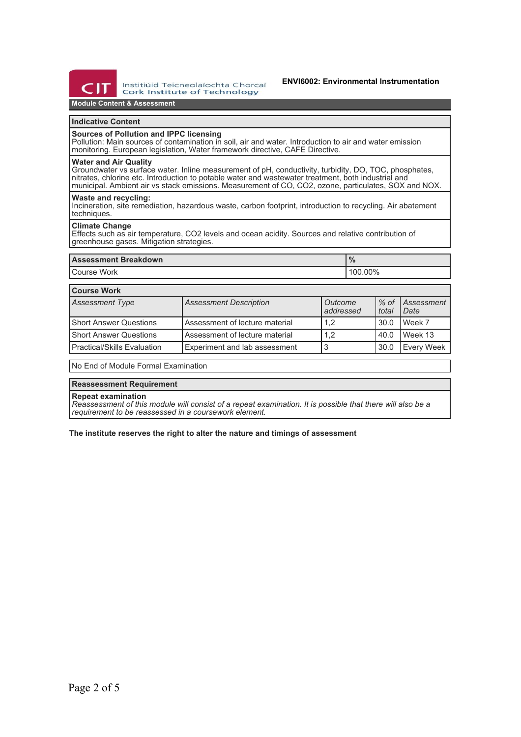

Institiúid Teicneolaíochta Chorcaí **Cork Institute of Technology** 

## **Module Content & Assessment**

## **Indicative Content**

#### **Sources of Pollution and IPPC licensing**

Pollution: Main sources of contamination in soil, air and water. Introduction to air and water emission monitoring. European legislation, Water framework directive, CAFE Directive.

#### **Water and Air Quality**

Groundwater vs surface water. Inline measurement of pH, conductivity, turbidity, DO, TOC, phosphates, nitrates, chlorine etc. Introduction to potable water and wastewater treatment, both industrial and municipal. Ambient air vs stack emissions. Measurement of CO, CO2, ozone, particulates, SOX and NOX.

## **Waste and recycling:**

Incineration, site remediation, hazardous waste, carbon footprint, introduction to recycling. Air abatement techniques.

## **Climate Change**

Effects such as air temperature, CO2 levels and ocean acidity. Sources and relative contribution of greenhouse gases. Mitigation strategies.

|               | 70      |
|---------------|---------|
| l Course Work | 100.00% |

### **Course Work**

| <b>Assessment Type</b>        | <b>Assessment Description</b>  | Outcome<br>addressed | $%$ of<br>total | Assessment<br>Date |
|-------------------------------|--------------------------------|----------------------|-----------------|--------------------|
| l Short Answer Questions      | Assessment of lecture material | 1,2                  | 30.0            | Week 7             |
| l Short Answer Questions      | Assessment of lecture material | 1.2                  | 40.0            | Week 13            |
| l Practical/Skills Evaluation | Experiment and lab assessment  | 3                    | 30.0            | <b>Every Week</b>  |

No End of Module Formal Examination

### **Reassessment Requirement**

**Repeat examination**

*Reassessment of this module will consist of a repeat examination. It is possible that there will also be a requirement to be reassessed in a coursework element.*

**The institute reserves the right to alter the nature and timings of assessment**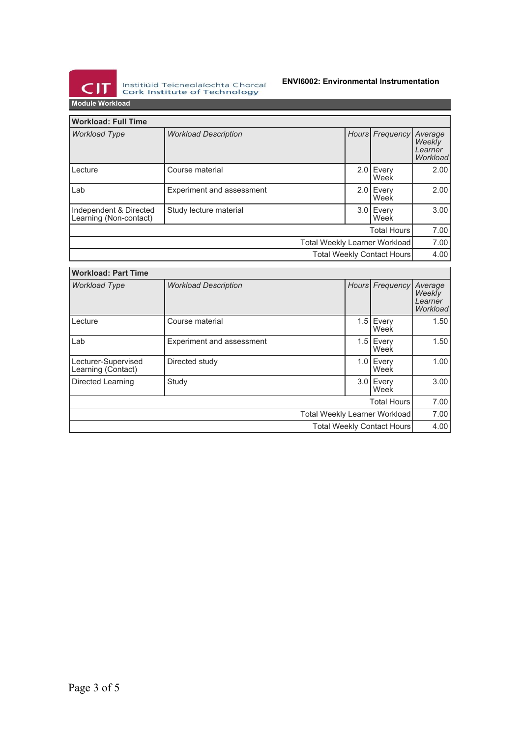

Institiúid Teicneolaíochta Chorcaí<br>Cork Institute of Technology

## **ENVI6002: Environmental Instrumentation**

**Module Workload**

| <b>Workload: Full Time</b>                                  |                             |  |  |                     |                                          |  |
|-------------------------------------------------------------|-----------------------------|--|--|---------------------|------------------------------------------|--|
| <b>Workload Type</b>                                        | <b>Workload Description</b> |  |  | Hours Frequency     | Average<br>Weekly<br>Learner<br>Workload |  |
| Lecture                                                     | Course material             |  |  | 2.0 Every<br>Week   | 2.00                                     |  |
| Lab                                                         | Experiment and assessment   |  |  | 2.0 Every<br>Week   | 2.00                                     |  |
| Independent & Directed<br>Learning (Non-contact)            | Study lecture material      |  |  | $3.0$ Every<br>Week | 3.00                                     |  |
|                                                             |                             |  |  | <b>Total Hours</b>  | 7.00                                     |  |
| Total Weekly Learner Workload<br>Total Weekly Contact Hours |                             |  |  |                     | 7.00                                     |  |
|                                                             |                             |  |  |                     | 4.00                                     |  |

| <b>Workload: Part Time</b>                |                                  |  |  |                     |                                          |
|-------------------------------------------|----------------------------------|--|--|---------------------|------------------------------------------|
| <b>Workload Type</b>                      | <b>Workload Description</b>      |  |  | Hours Frequency     | Average<br>Weekly<br>Learner<br>Workload |
| Lecture                                   | Course material                  |  |  | 1.5 Every<br>Week   | 1.50                                     |
| Lab                                       | <b>Experiment and assessment</b> |  |  | $1.5$ Every<br>Week | 1.50                                     |
| Lecturer-Supervised<br>Learning (Contact) | Directed study                   |  |  | $1.0$ Every<br>Week | 1.00                                     |
| Directed Learning                         | Study                            |  |  | 3.0 Every<br>Week   | 3.00                                     |
|                                           |                                  |  |  | <b>Total Hours</b>  | 7.00                                     |
| Total Weekly Learner Workload             |                                  |  |  |                     | 7.00                                     |
| <b>Total Weekly Contact Hours</b>         |                                  |  |  | 4.00                |                                          |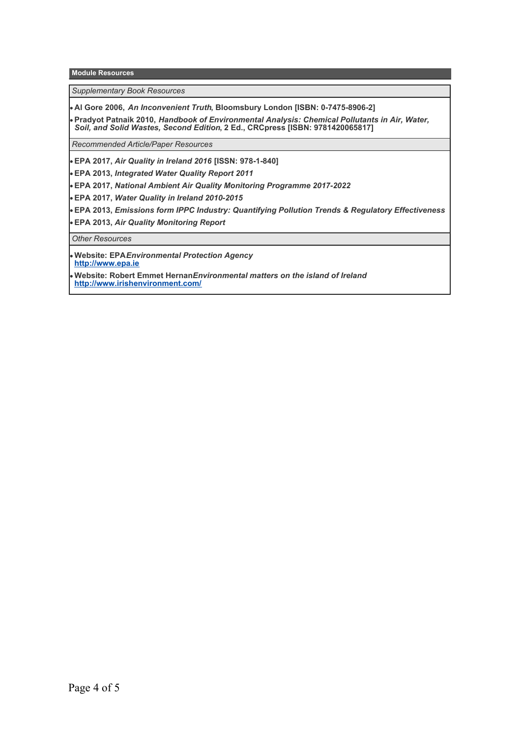**Module Resources**

*Supplementary Book Resources*

**Al Gore 2006,** *An Inconvenient Truth***, Bloomsbury London [ISBN: 0-7475-8906-2]**

**Pradyot Patnaik 2010,** *Handbook of Environmental Analysis: Chemical Pollutants in Air, Water, Soil, and Solid Wastes, Second Edition***, 2 Ed., CRCpress [ISBN: 9781420065817]**

*Recommended Article/Paper Resources*

**EPA 2017,** *Air Quality in Ireland 2016* **[ISSN: 978-1-840]**

**EPA 2013,** *Integrated Water Quality Report 2011*

**EPA 2017,** *National Ambient Air Quality Monitoring Programme 2017-2022*

**EPA 2017,** *Water Quality in Ireland 2010-2015*

**EPA 2013,** *Emissions form IPPC Industry: Quantifying Pollution Trends & Regulatory Effectiveness*

**EPA 2013,** *Air Quality Monitoring Report*

*Other Resources*

**Website: EPA***Environmental Protection Agency* **<http://www.epa.ie>**

**Website: Robert Emmet Hernan***Environmental matters on the island of Ireland*  **<http://www.irishenvironment.com/>**